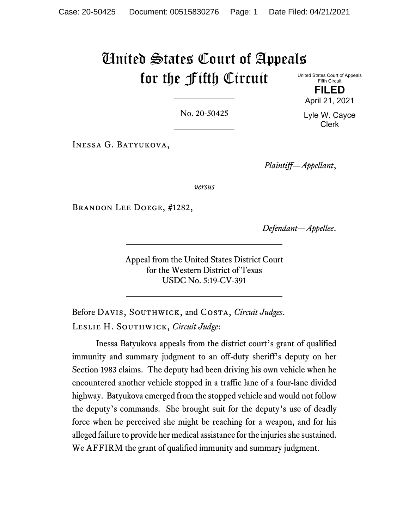# United States Court of Appeals for the Fifth Circuit

United States Court of Appeals Fifth Circuit **FILED**

No. 20-50425

Inessa G. Batyukova,

*Plaintiff—Appellant*,

*versus*

Brandon Lee Doege, #1282,

*Defendant—Appellee*.

Appeal from the United States District Court for the Western District of Texas USDC No. 5:19-CV-391

Before Davis, Southwick, and Costa, *Circuit Judges*. Leslie H. Southwick, *Circuit Judge*:

Inessa Batyukova appeals from the district court's grant of qualified immunity and summary judgment to an off-duty sheriff's deputy on her Section 1983 claims. The deputy had been driving his own vehicle when he encountered another vehicle stopped in a traffic lane of a four-lane divided highway. Batyukova emerged from the stopped vehicle and would not follow the deputy's commands. She brought suit for the deputy's use of deadly force when he perceived she might be reaching for a weapon, and for his alleged failure to provide her medical assistance for the injuries she sustained. We AFFIRM the grant of qualified immunity and summary judgment.

Lyle W. Cayce Clerk

April 21, 2021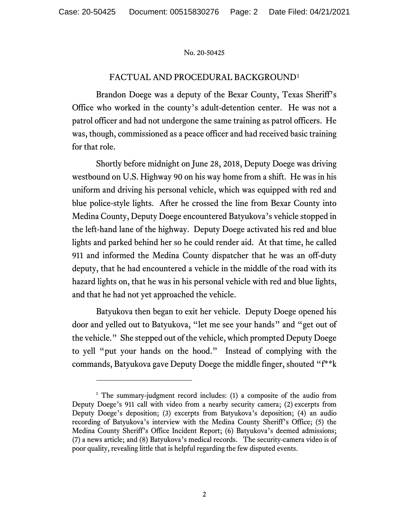# FACTUAL AND PROCEDURAL BACKGROUND[1](#page-1-0)

Brandon Doege was a deputy of the Bexar County, Texas Sheriff's Office who worked in the county's adult-detention center. He was not a patrol officer and had not undergone the same training as patrol officers. He was, though, commissioned as a peace officer and had received basic training for that role.

Shortly before midnight on June 28, 2018, Deputy Doege was driving westbound on U.S. Highway 90 on his way home from a shift. He was in his uniform and driving his personal vehicle, which was equipped with red and blue police-style lights. After he crossed the line from Bexar County into Medina County, Deputy Doege encountered Batyukova's vehicle stopped in the left-hand lane of the highway. Deputy Doege activated his red and blue lights and parked behind her so he could render aid. At that time, he called 911 and informed the Medina County dispatcher that he was an off-duty deputy, that he had encountered a vehicle in the middle of the road with its hazard lights on, that he was in his personal vehicle with red and blue lights, and that he had not yet approached the vehicle.

Batyukova then began to exit her vehicle. Deputy Doege opened his door and yelled out to Batyukova, "let me see your hands" and "get out of the vehicle." She stepped out of the vehicle, which prompted Deputy Doege to yell "put your hands on the hood." Instead of complying with the commands, Batyukova gave Deputy Doege the middle finger, shouted "f\*\*k

<span id="page-1-0"></span><sup>&</sup>lt;sup>1</sup> The summary-judgment record includes: (1) a composite of the audio from Deputy Doege's 911 call with video from a nearby security camera; (2) excerpts from Deputy Doege's deposition; (3) excerpts from Batyukova's deposition; (4) an audio recording of Batyukova's interview with the Medina County Sheriff's Office; (5) the Medina County Sheriff's Office Incident Report; (6) Batyukova's deemed admissions; (7) a news article; and (8) Batyukova's medical records. The security-camera video is of poor quality, revealing little that is helpful regarding the few disputed events.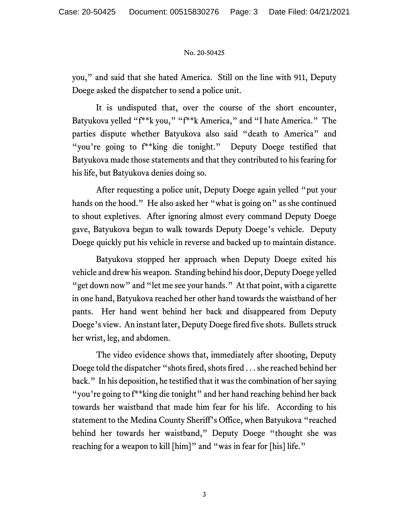you," and said that she hated America. Still on the line with 911, Deputy Doege asked the dispatcher to send a police unit.

It is undisputed that, over the course of the short encounter, Batyukova yelled "f\*\*k you," "f\*\*k America," and "I hate America." The parties dispute whether Batyukova also said "death to America" and "you're going to  $f^*$ king die tonight." Deputy Doege testified that Batyukova made those statements and that they contributed to his fearing for his life, but Batyukova denies doing so.

After requesting a police unit, Deputy Doege again yelled "put your hands on the hood." He also asked her "what is going on" as she continued to shout expletives. After ignoring almost every command Deputy Doege gave, Batyukova began to walk towards Deputy Doege's vehicle. Deputy Doege quickly put his vehicle in reverse and backed up to maintain distance.

Batyukova stopped her approach when Deputy Doege exited his vehicle and drew his weapon. Standing behind his door, Deputy Doege yelled "get down now" and "let me see your hands." At that point, with a cigarette in one hand, Batyukova reached her other hand towards the waistband of her pants. Her hand went behind her back and disappeared from Deputy Doege's view. An instant later, Deputy Doege fired five shots. Bullets struck her wrist, leg, and abdomen.

The video evidence shows that, immediately after shooting, Deputy Doege told the dispatcher "shots fired, shots fired . . . she reached behind her back." In his deposition, he testified that it was the combination of her saying "you're going to f\*\*king die tonight" and her hand reaching behind her back towards her waistband that made him fear for his life. According to his statement to the Medina County Sheriff's Office, when Batyukova "reached behind her towards her waistband," Deputy Doege "thought she was reaching for a weapon to kill [him]" and "was in fear for [his] life."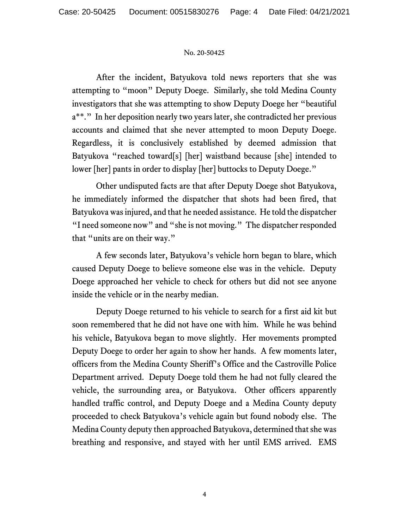After the incident, Batyukova told news reporters that she was attempting to "moon" Deputy Doege. Similarly, she told Medina County investigators that she was attempting to show Deputy Doege her "beautiful a\*\*." In her deposition nearly two years later, she contradicted her previous accounts and claimed that she never attempted to moon Deputy Doege. Regardless, it is conclusively established by deemed admission that Batyukova "reached toward[s] [her] waistband because [she] intended to lower [her] pants in order to display [her] buttocks to Deputy Doege."

Other undisputed facts are that after Deputy Doege shot Batyukova, he immediately informed the dispatcher that shots had been fired, that Batyukova was injured, and that he needed assistance. He told the dispatcher "I need someone now" and "she is not moving." The dispatcher responded that "units are on their way."

A few seconds later, Batyukova's vehicle horn began to blare, which caused Deputy Doege to believe someone else was in the vehicle. Deputy Doege approached her vehicle to check for others but did not see anyone inside the vehicle or in the nearby median.

Deputy Doege returned to his vehicle to search for a first aid kit but soon remembered that he did not have one with him. While he was behind his vehicle, Batyukova began to move slightly. Her movements prompted Deputy Doege to order her again to show her hands. A few moments later, officers from the Medina County Sheriff's Office and the Castroville Police Department arrived. Deputy Doege told them he had not fully cleared the vehicle, the surrounding area, or Batyukova. Other officers apparently handled traffic control, and Deputy Doege and a Medina County deputy proceeded to check Batyukova's vehicle again but found nobody else. The Medina County deputy then approached Batyukova, determined that she was breathing and responsive, and stayed with her until EMS arrived. EMS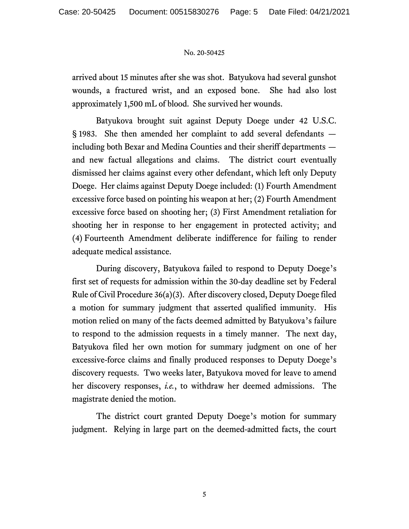arrived about 15 minutes after she was shot. Batyukova had several gunshot wounds, a fractured wrist, and an exposed bone. She had also lost approximately 1,500 mL of blood. She survived her wounds.

Batyukova brought suit against Deputy Doege under 42 U.S.C. § 1983. She then amended her complaint to add several defendants including both Bexar and Medina Counties and their sheriff departments and new factual allegations and claims. The district court eventually dismissed her claims against every other defendant, which left only Deputy Doege. Her claims against Deputy Doege included: (1) Fourth Amendment excessive force based on pointing his weapon at her; (2) Fourth Amendment excessive force based on shooting her; (3) First Amendment retaliation for shooting her in response to her engagement in protected activity; and (4) Fourteenth Amendment deliberate indifference for failing to render adequate medical assistance.

During discovery, Batyukova failed to respond to Deputy Doege's first set of requests for admission within the 30-day deadline set by Federal Rule of Civil Procedure 36(a)(3). After discovery closed, Deputy Doege filed a motion for summary judgment that asserted qualified immunity. His motion relied on many of the facts deemed admitted by Batyukova's failure to respond to the admission requests in a timely manner. The next day, Batyukova filed her own motion for summary judgment on one of her excessive-force claims and finally produced responses to Deputy Doege's discovery requests. Two weeks later, Batyukova moved for leave to amend her discovery responses, *i.e.*, to withdraw her deemed admissions. The magistrate denied the motion.

The district court granted Deputy Doege's motion for summary judgment. Relying in large part on the deemed-admitted facts, the court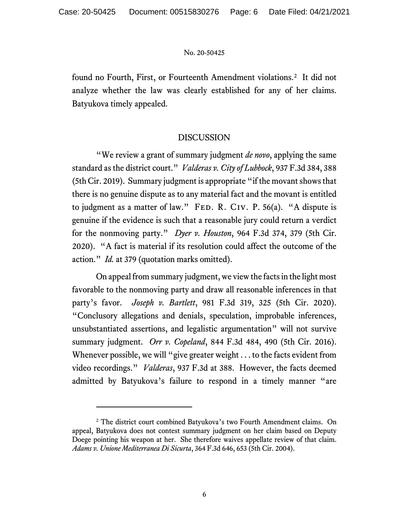found no Fourth, First, or Fourteenth Amendment violations.<sup>[2](#page-5-0)</sup> It did not analyze whether the law was clearly established for any of her claims. Batyukova timely appealed.

# DISCUSSION

"We review a grant of summary judgment *de novo*, applying the same standard as the district court." *Valderas v. City of Lubbock*, 937 F.3d 384, 388 (5th Cir. 2019). Summary judgment is appropriate "if the movant shows that there is no genuine dispute as to any material fact and the movant is entitled to judgment as a matter of law." FED. R. CIV. P.  $56(a)$ . "A dispute is genuine if the evidence is such that a reasonable jury could return a verdict for the nonmoving party." *Dyer v. Houston*, 964 F.3d 374, 379 (5th Cir. 2020). "A fact is material if its resolution could affect the outcome of the action." *Id.* at 379 (quotation marks omitted).

On appeal from summary judgment, we view the facts in the light most favorable to the nonmoving party and draw all reasonable inferences in that party's favor. *Joseph v. Bartlett*, 981 F.3d 319, 325 (5th Cir. 2020). "Conclusory allegations and denials, speculation, improbable inferences, unsubstantiated assertions, and legalistic argumentation" will not survive summary judgment. *Orr v. Copeland*, 844 F.3d 484, 490 (5th Cir. 2016). Whenever possible, we will "give greater weight . . . to the facts evident from video recordings." *Valderas*, 937 F.3d at 388. However, the facts deemed admitted by Batyukova's failure to respond in a timely manner "are

<span id="page-5-0"></span><sup>&</sup>lt;sup>2</sup> The district court combined Batyukova's two Fourth Amendment claims. On appeal, Batyukova does not contest summary judgment on her claim based on Deputy Doege pointing his weapon at her. She therefore waives appellate review of that claim. *Adams v. Unione Mediterranea Di Sicurta*, 364 F.3d 646, 653 (5th Cir. 2004).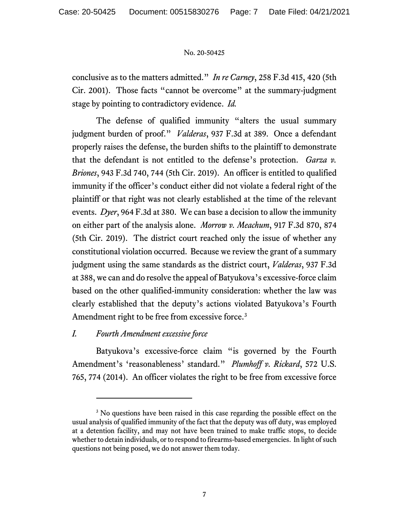conclusive as to the matters admitted." *In re Carney*, 258 F.3d 415, 420 (5th Cir. 2001). Those facts "cannot be overcome" at the summary-judgment stage by pointing to contradictory evidence. *Id.*

The defense of qualified immunity "alters the usual summary judgment burden of proof." *Valderas*, 937 F.3d at 389. Once a defendant properly raises the defense, the burden shifts to the plaintiff to demonstrate that the defendant is not entitled to the defense's protection. *Garza v. Briones*, 943 F.3d 740, 744 (5th Cir. 2019). An officer is entitled to qualified immunity if the officer's conduct either did not violate a federal right of the plaintiff or that right was not clearly established at the time of the relevant events. *Dyer*, 964 F.3d at 380. We can base a decision to allow the immunity on either part of the analysis alone. *Morrow v. Meachum*, 917 F.3d 870, 874 (5th Cir. 2019). The district court reached only the issue of whether any constitutional violation occurred. Because we review the grant of a summary judgment using the same standards as the district court, *Valderas*, 937 F.3d at 388, we can and do resolve the appeal of Batyukova's excessive-force claim based on the other qualified-immunity consideration: whether the law was clearly established that the deputy's actions violated Batyukova's Fourth Amendment right to be free from excessive force.<sup>[3](#page-6-0)</sup>

# *I. Fourth Amendment excessive force*

Batyukova's excessive-force claim "is governed by the Fourth Amendment's 'reasonableness' standard." *Plumhoff v. Rickard*, 572 U.S. 765, 774 (2014). An officer violates the right to be free from excessive force

<span id="page-6-0"></span><sup>&</sup>lt;sup>3</sup> No questions have been raised in this case regarding the possible effect on the usual analysis of qualified immunity of the fact that the deputy was off duty, was employed at a detention facility, and may not have been trained to make traffic stops, to decide whether to detain individuals, or to respond to firearms-based emergencies. In light of such questions not being posed, we do not answer them today.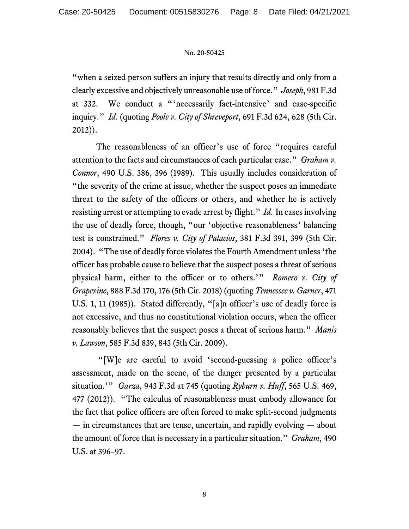"when a seized person suffers an injury that results directly and only from a clearly excessive and objectively unreasonable use of force." *Joseph*, 981 F.3d at 332. We conduct a "'necessarily fact-intensive' and case-specific inquiry." *Id.* (quoting *Poole v. City of Shreveport*, 691 F.3d 624, 628 (5th Cir. 2012)).

The reasonableness of an officer's use of force "requires careful attention to the facts and circumstances of each particular case." *Graham v. Connor*, 490 U.S. 386, 396 (1989). This usually includes consideration of "the severity of the crime at issue, whether the suspect poses an immediate threat to the safety of the officers or others, and whether he is actively resisting arrest or attempting to evade arrest by flight." *Id.* In cases involving the use of deadly force, though, "our 'objective reasonableness' balancing test is constrained." *Flores v. City of Palacios*, 381 F.3d 391, 399 (5th Cir. 2004). "The use of deadly force violates the Fourth Amendment unless 'the officer has probable cause to believe that the suspect poses a threat of serious physical harm, either to the officer or to others.'" *Romero v. City of Grapevine*, 888 F.3d 170, 176 (5th Cir. 2018) (quoting *Tennessee v. Garner*, 471 U.S. 1, 11 (1985)). Stated differently, "[a]n officer's use of deadly force is not excessive, and thus no constitutional violation occurs, when the officer reasonably believes that the suspect poses a threat of serious harm." *Manis v. Lawson*, 585 F.3d 839, 843 (5th Cir. 2009).

"[W]e are careful to avoid 'second-guessing a police officer's assessment, made on the scene, of the danger presented by a particular situation.'" *Garza*, 943 F.3d at 745 (quoting *Ryburn v. Huff*, 565 U.S. 469, 477 (2012)). "The calculus of reasonableness must embody allowance for the fact that police officers are often forced to make split-second judgments — in circumstances that are tense, uncertain, and rapidly evolving — about the amount of force that is necessary in a particular situation." *Graham*, 490 U.S. at 396–97.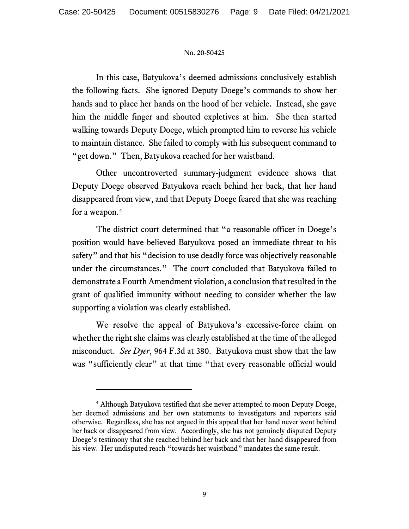In this case, Batyukova's deemed admissions conclusively establish the following facts. She ignored Deputy Doege's commands to show her hands and to place her hands on the hood of her vehicle. Instead, she gave him the middle finger and shouted expletives at him. She then started walking towards Deputy Doege, which prompted him to reverse his vehicle to maintain distance. She failed to comply with his subsequent command to "get down." Then, Batyukova reached for her waistband.

Other uncontroverted summary-judgment evidence shows that Deputy Doege observed Batyukova reach behind her back, that her hand disappeared from view, and that Deputy Doege feared that she was reaching for a weapon. [4](#page-8-0)

The district court determined that "a reasonable officer in Doege's position would have believed Batyukova posed an immediate threat to his safety" and that his "decision to use deadly force was objectively reasonable under the circumstances." The court concluded that Batyukova failed to demonstrate a Fourth Amendment violation, a conclusion that resulted in the grant of qualified immunity without needing to consider whether the law supporting a violation was clearly established.

We resolve the appeal of Batyukova's excessive-force claim on whether the right she claims was clearly established at the time of the alleged misconduct. *See Dyer*, 964 F.3d at 380. Batyukova must show that the law was "sufficiently clear" at that time "that every reasonable official would

<span id="page-8-0"></span><sup>4</sup> Although Batyukova testified that she never attempted to moon Deputy Doege, her deemed admissions and her own statements to investigators and reporters said otherwise. Regardless, she has not argued in this appeal that her hand never went behind her back or disappeared from view. Accordingly, she has not genuinely disputed Deputy Doege's testimony that she reached behind her back and that her hand disappeared from his view. Her undisputed reach "towards her waistband" mandates the same result.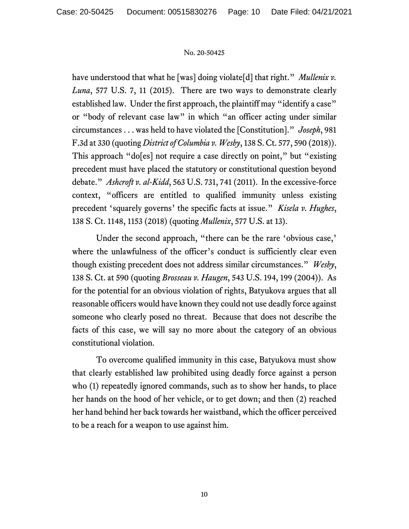have understood that what he [was] doing violate[d] that right." *Mullenix v*. *Luna*, 577 U.S. 7, 11 (2015). There are two ways to demonstrate clearly established law. Under the first approach, the plaintiff may "identify a case" or "body of relevant case law" in which "an officer acting under similar circumstances . . . was held to have violated the [Constitution]." *Joseph*, 981 F.3d at 330 (quoting *District of Columbia v. Wesby*, 138 S. Ct. 577, 590 (2018)). This approach "do[es] not require a case directly on point," but "existing precedent must have placed the statutory or constitutional question beyond debate." *Ashcroft v. al-Kidd*, 563 U.S. 731, 741 (2011). In the excessive-force context, "officers are entitled to qualified immunity unless existing precedent 'squarely governs' the specific facts at issue." *Kisela v. Hughes*, 138 S. Ct. 1148, 1153 (2018) (quoting *Mullenix*, 577 U.S. at 13).

Under the second approach, "there can be the rare 'obvious case,' where the unlawfulness of the officer's conduct is sufficiently clear even though existing precedent does not address similar circumstances." *Wesby*, 138 S. Ct. at 590 (quoting *Brosseau v. Haugen*, 543 U.S. 194, 199 (2004)). As for the potential for an obvious violation of rights, Batyukova argues that all reasonable officers would have known they could not use deadly force against someone who clearly posed no threat. Because that does not describe the facts of this case, we will say no more about the category of an obvious constitutional violation.

To overcome qualified immunity in this case, Batyukova must show that clearly established law prohibited using deadly force against a person who (1) repeatedly ignored commands, such as to show her hands, to place her hands on the hood of her vehicle, or to get down; and then (2) reached her hand behind her back towards her waistband, which the officer perceived to be a reach for a weapon to use against him.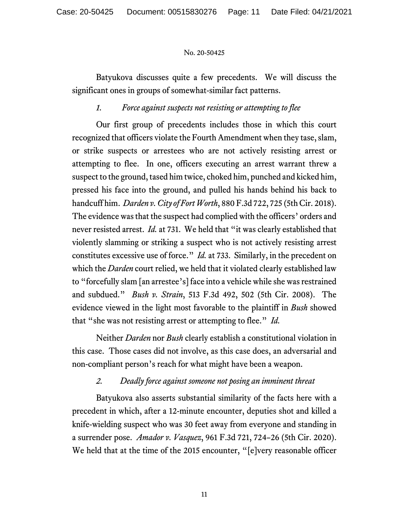Batyukova discusses quite a few precedents. We will discuss the significant ones in groups of somewhat-similar fact patterns.

# *1. Force against suspects not resisting or attempting to flee*

Our first group of precedents includes those in which this court recognized that officers violate the Fourth Amendment when they tase, slam, or strike suspects or arrestees who are not actively resisting arrest or attempting to flee. In one, officers executing an arrest warrant threw a suspect to the ground, tased him twice, choked him, punched and kicked him, pressed his face into the ground, and pulled his hands behind his back to handcuff him. *Darden v. City of Fort Worth*, 880 F.3d 722, 725 (5th Cir. 2018). The evidence was that the suspect had complied with the officers' orders and never resisted arrest. *Id.* at 731. We held that "it was clearly established that violently slamming or striking a suspect who is not actively resisting arrest constitutes excessive use of force." *Id.* at 733. Similarly, in the precedent on which the *Darden* court relied, we held that it violated clearly established law to "forcefully slam [an arrestee's] face into a vehicle while she was restrained and subdued." *Bush v. Strain*, 513 F.3d 492, 502 (5th Cir. 2008). The evidence viewed in the light most favorable to the plaintiff in *Bush* showed that "she was not resisting arrest or attempting to flee." *Id.*

Neither *Darden* nor *Bush* clearly establish a constitutional violation in this case. Those cases did not involve, as this case does, an adversarial and non-compliant person's reach for what might have been a weapon.

# *2. Deadly force against someone not posing an imminent threat*

Batyukova also asserts substantial similarity of the facts here with a precedent in which, after a 12-minute encounter, deputies shot and killed a knife-wielding suspect who was 30 feet away from everyone and standing in a surrender pose. *Amador v. Vasquez*, 961 F.3d 721, 724–26 (5th Cir. 2020). We held that at the time of the 2015 encounter, "[e]very reasonable officer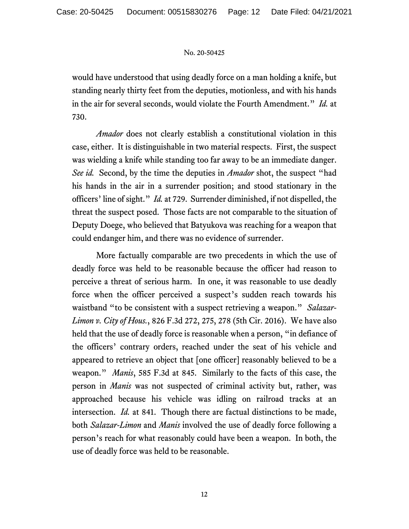would have understood that using deadly force on a man holding a knife, but standing nearly thirty feet from the deputies, motionless, and with his hands in the air for several seconds, would violate the Fourth Amendment." *Id.* at 730.

*Amador* does not clearly establish a constitutional violation in this case, either. It is distinguishable in two material respects. First, the suspect was wielding a knife while standing too far away to be an immediate danger. *See id.* Second, by the time the deputies in *Amador* shot, the suspect "had his hands in the air in a surrender position; and stood stationary in the officers' line of sight." *Id.* at 729. Surrender diminished, if not dispelled, the threat the suspect posed. Those facts are not comparable to the situation of Deputy Doege, who believed that Batyukova was reaching for a weapon that could endanger him, and there was no evidence of surrender.

More factually comparable are two precedents in which the use of deadly force was held to be reasonable because the officer had reason to perceive a threat of serious harm. In one, it was reasonable to use deadly force when the officer perceived a suspect's sudden reach towards his waistband "to be consistent with a suspect retrieving a weapon." *Salazar-Limon v. City of Hous.*, 826 F.3d 272, 275, 278 (5th Cir. 2016). We have also held that the use of deadly force is reasonable when a person, "in defiance of the officers' contrary orders, reached under the seat of his vehicle and appeared to retrieve an object that [one officer] reasonably believed to be a weapon." *Manis*, 585 F.3d at 845. Similarly to the facts of this case, the person in *Manis* was not suspected of criminal activity but, rather, was approached because his vehicle was idling on railroad tracks at an intersection. *Id.* at 841. Though there are factual distinctions to be made, both *Salazar-Limon* and *Manis* involved the use of deadly force following a person's reach for what reasonably could have been a weapon. In both, the use of deadly force was held to be reasonable.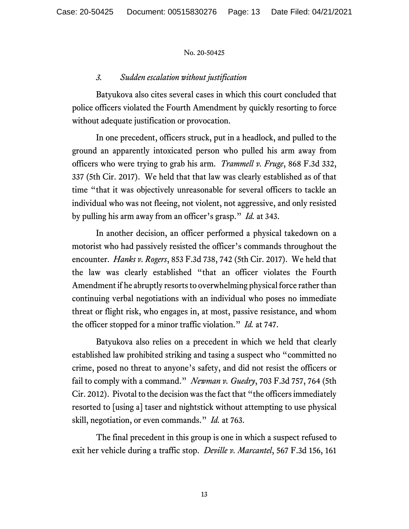# *3. Sudden escalation without justification*

Batyukova also cites several cases in which this court concluded that police officers violated the Fourth Amendment by quickly resorting to force without adequate justification or provocation.

In one precedent, officers struck, put in a headlock, and pulled to the ground an apparently intoxicated person who pulled his arm away from officers who were trying to grab his arm. *Trammell v. Fruge*, 868 F.3d 332, 337 (5th Cir. 2017). We held that that law was clearly established as of that time "that it was objectively unreasonable for several officers to tackle an individual who was not fleeing, not violent, not aggressive, and only resisted by pulling his arm away from an officer's grasp." *Id.* at 343.

In another decision, an officer performed a physical takedown on a motorist who had passively resisted the officer's commands throughout the encounter. *Hanks v. Rogers*, 853 F.3d 738, 742 (5th Cir. 2017). We held that the law was clearly established "that an officer violates the Fourth Amendment if he abruptly resorts to overwhelming physical force rather than continuing verbal negotiations with an individual who poses no immediate threat or flight risk, who engages in, at most, passive resistance, and whom the officer stopped for a minor traffic violation." *Id.* at 747.

Batyukova also relies on a precedent in which we held that clearly established law prohibited striking and tasing a suspect who "committed no crime, posed no threat to anyone's safety, and did not resist the officers or fail to comply with a command." *Newman v. Guedry*, 703 F.3d 757, 764 (5th Cir. 2012). Pivotal to the decision was the fact that "the officers immediately resorted to [using a] taser and nightstick without attempting to use physical skill, negotiation, or even commands." *Id.* at 763.

The final precedent in this group is one in which a suspect refused to exit her vehicle during a traffic stop. *Deville v. Marcantel*, 567 F.3d 156, 161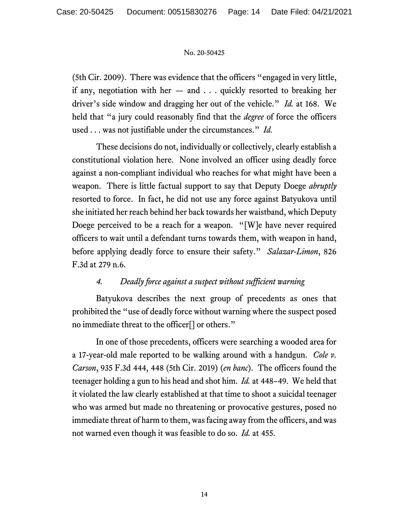(5th Cir. 2009). There was evidence that the officers "engaged in very little, if any, negotiation with her  $-$  and  $\ldots$  quickly resorted to breaking her driver's side window and dragging her out of the vehicle." *Id.* at 168. We held that "a jury could reasonably find that the *degree* of force the officers used . . . was not justifiable under the circumstances." *Id.*

These decisions do not, individually or collectively, clearly establish a constitutional violation here. None involved an officer using deadly force against a non-compliant individual who reaches for what might have been a weapon. There is little factual support to say that Deputy Doege *abruptly*  resorted to force. In fact, he did not use any force against Batyukova until she initiated her reach behind her back towards her waistband, which Deputy Doege perceived to be a reach for a weapon. "[W]e have never required officers to wait until a defendant turns towards them, with weapon in hand, before applying deadly force to ensure their safety." *Salazar-Limon*, 826 F.3d at 279 n.6.

# *4. Deadly force against a suspect without sufficient warning*

Batyukova describes the next group of precedents as ones that prohibited the "use of deadly force without warning where the suspect posed no immediate threat to the officer[] or others."

In one of those precedents, officers were searching a wooded area for a 17-year-old male reported to be walking around with a handgun. *Cole v. Carson*, 935 F.3d 444, 448 (5th Cir. 2019) (*en banc*). The officers found the teenager holding a gun to his head and shot him. *Id.* at 448–49. We held that it violated the law clearly established at that time to shoot a suicidal teenager who was armed but made no threatening or provocative gestures, posed no immediate threat of harm to them, was facing away from the officers, and was not warned even though it was feasible to do so. *Id.* at 455.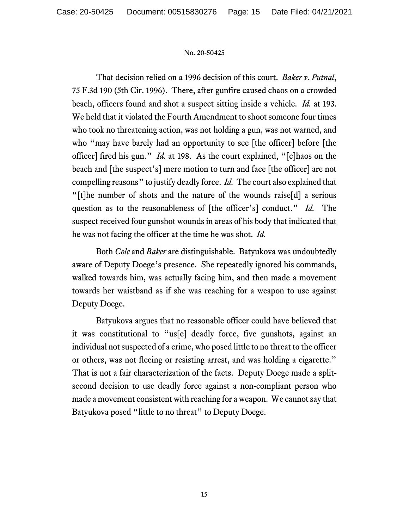That decision relied on a 1996 decision of this court. *Baker v. Putnal*, 75 F.3d 190 (5th Cir. 1996). There, after gunfire caused chaos on a crowded beach, officers found and shot a suspect sitting inside a vehicle. *Id.* at 193. We held that it violated the Fourth Amendment to shoot someone four times who took no threatening action, was not holding a gun, was not warned, and who "may have barely had an opportunity to see [the officer] before [the officer] fired his gun." *Id.* at 198. As the court explained, "[c]haos on the beach and [the suspect's] mere motion to turn and face [the officer] are not compelling reasons" to justify deadly force. *Id.* The court also explained that "[t]he number of shots and the nature of the wounds raise[d] a serious question as to the reasonableness of [the officer's] conduct." *Id.* The suspect received four gunshot wounds in areas of his body that indicated that he was not facing the officer at the time he was shot. *Id.*

Both *Cole* and *Baker* are distinguishable. Batyukova was undoubtedly aware of Deputy Doege's presence. She repeatedly ignored his commands, walked towards him, was actually facing him, and then made a movement towards her waistband as if she was reaching for a weapon to use against Deputy Doege.

Batyukova argues that no reasonable officer could have believed that it was constitutional to "us[e] deadly force, five gunshots, against an individual not suspected of a crime, who posed little to no threat to the officer or others, was not fleeing or resisting arrest, and was holding a cigarette." That is not a fair characterization of the facts. Deputy Doege made a splitsecond decision to use deadly force against a non-compliant person who made a movement consistent with reaching for a weapon. We cannot say that Batyukova posed "little to no threat" to Deputy Doege.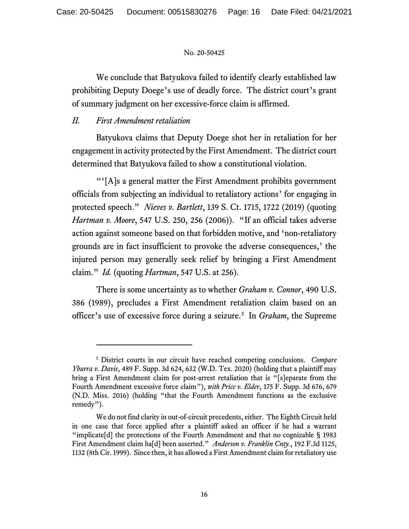We conclude that Batyukova failed to identify clearly established law prohibiting Deputy Doege's use of deadly force. The district court's grant of summary judgment on her excessive-force claim is affirmed.

# *II. First Amendment retaliation*

Batyukova claims that Deputy Doege shot her in retaliation for her engagement in activity protected by the First Amendment. The district court determined that Batyukova failed to show a constitutional violation.

"'[A]s a general matter the First Amendment prohibits government officials from subjecting an individual to retaliatory actions' for engaging in protected speech." *Nieves v. Bartlett*, 139 S. Ct. 1715, 1722 (2019) (quoting *Hartman v. Moore*, 547 U.S. 250, 256 (2006)). "If an official takes adverse action against someone based on that forbidden motive, and 'non-retaliatory grounds are in fact insufficient to provoke the adverse consequences,' the injured person may generally seek relief by bringing a First Amendment claim." *Id.* (quoting *Hartman*, 547 U.S. at 256).

There is some uncertainty as to whether *Graham v. Connor*, 490 U.S. 386 (1989), precludes a First Amendment retaliation claim based on an officer's use of excessive force during a seizure.[5](#page-15-0) In *Graham*, the Supreme

<span id="page-15-0"></span><sup>5</sup> District courts in our circuit have reached competing conclusions. *Compare Ybarra v. Davis*, 489 F. Supp. 3d 624, 632 (W.D. Tex. 2020) (holding that a plaintiff may bring a First Amendment claim for post-arrest retaliation that is "[s]eparate from the Fourth Amendment excessive force claim"), *with Price v. Elder*, 175 F. Supp. 3d 676, 679 (N.D. Miss. 2016) (holding "that the Fourth Amendment functions as the exclusive remedy").

We do not find clarity in out-of-circuit precedents, either. The Eighth Circuit held in one case that force applied after a plaintiff asked an officer if he had a warrant "implicate[d] the protections of the Fourth Amendment and that no cognizable § 1983 First Amendment claim ha[d] been asserted." *Anderson v. Franklin Cnty.*, 192 F.3d 1125, 1132 (8th Cir. 1999). Since then, it has allowed a First Amendment claim for retaliatory use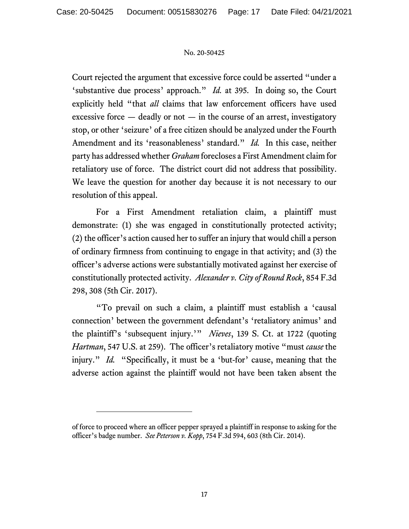Court rejected the argument that excessive force could be asserted "under a 'substantive due process' approach." *Id.* at 395. In doing so, the Court explicitly held "that *all* claims that law enforcement officers have used excessive force  $-$  deadly or not  $-$  in the course of an arrest, investigatory stop, or other 'seizure' of a free citizen should be analyzed under the Fourth Amendment and its 'reasonableness' standard." *Id.* In this case, neither party has addressed whether *Graham* forecloses a First Amendment claim for retaliatory use of force. The district court did not address that possibility. We leave the question for another day because it is not necessary to our resolution of this appeal.

For a First Amendment retaliation claim, a plaintiff must demonstrate: (1) she was engaged in constitutionally protected activity; (2) the officer's action caused her to suffer an injury that would chill a person of ordinary firmness from continuing to engage in that activity; and (3) the officer's adverse actions were substantially motivated against her exercise of constitutionally protected activity. *Alexander v. City of Round Rock*, 854 F.3d 298, 308 (5th Cir. 2017).

"To prevail on such a claim, a plaintiff must establish a 'causal connection' between the government defendant's 'retaliatory animus' and the plaintiff's 'subsequent injury.'" *Nieves*, 139 S. Ct. at 1722 (quoting *Hartman*, 547 U.S. at 259). The officer's retaliatory motive "must *cause* the injury." *Id.* "Specifically, it must be a 'but-for' cause, meaning that the adverse action against the plaintiff would not have been taken absent the

of force to proceed where an officer pepper sprayed a plaintiff in response to asking for the officer's badge number. *See Peterson v. Kopp*, 754 F.3d 594, 603 (8th Cir. 2014).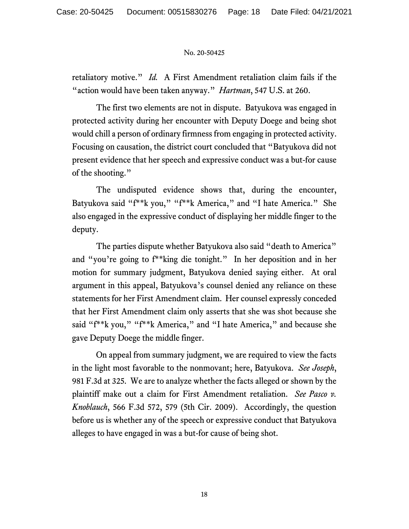retaliatory motive." *Id.* A First Amendment retaliation claim fails if the "action would have been taken anyway." *Hartman*, 547 U.S. at 260.

The first two elements are not in dispute. Batyukova was engaged in protected activity during her encounter with Deputy Doege and being shot would chill a person of ordinary firmness from engaging in protected activity. Focusing on causation, the district court concluded that "Batyukova did not present evidence that her speech and expressive conduct was a but-for cause of the shooting."

The undisputed evidence shows that, during the encounter, Batyukova said "f\*\*k you," "f\*\*k America," and "I hate America." She also engaged in the expressive conduct of displaying her middle finger to the deputy.

The parties dispute whether Batyukova also said "death to America" and "you're going to f\*\*king die tonight." In her deposition and in her motion for summary judgment, Batyukova denied saying either. At oral argument in this appeal, Batyukova's counsel denied any reliance on these statements for her First Amendment claim. Her counsel expressly conceded that her First Amendment claim only asserts that she was shot because she said "f\*\*k you," "f\*\*k America," and "I hate America," and because she gave Deputy Doege the middle finger.

On appeal from summary judgment, we are required to view the facts in the light most favorable to the nonmovant; here, Batyukova. *See Joseph*, 981 F.3d at 325. We are to analyze whether the facts alleged or shown by the plaintiff make out a claim for First Amendment retaliation. *See Pasco v. Knoblauch*, 566 F.3d 572, 579 (5th Cir. 2009). Accordingly, the question before us is whether any of the speech or expressive conduct that Batyukova alleges to have engaged in was a but-for cause of being shot.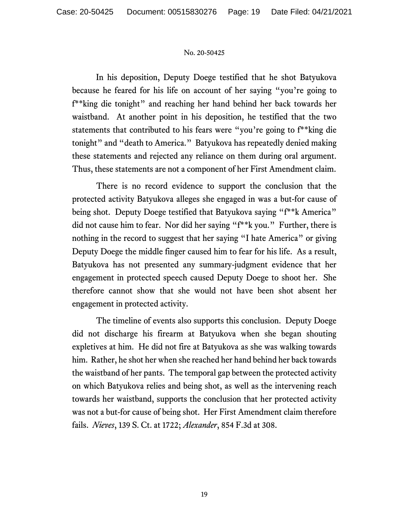In his deposition, Deputy Doege testified that he shot Batyukova because he feared for his life on account of her saying "you're going to f\*\*king die tonight" and reaching her hand behind her back towards her waistband. At another point in his deposition, he testified that the two statements that contributed to his fears were "you're going to f\*\*king die tonight" and "death to America." Batyukova has repeatedly denied making these statements and rejected any reliance on them during oral argument. Thus, these statements are not a component of her First Amendment claim.

There is no record evidence to support the conclusion that the protected activity Batyukova alleges she engaged in was a but-for cause of being shot. Deputy Doege testified that Batyukova saying "f\*\*k America" did not cause him to fear. Nor did her saying "f\*\*k you." Further, there is nothing in the record to suggest that her saying "I hate America" or giving Deputy Doege the middle finger caused him to fear for his life. As a result, Batyukova has not presented any summary-judgment evidence that her engagement in protected speech caused Deputy Doege to shoot her. She therefore cannot show that she would not have been shot absent her engagement in protected activity.

The timeline of events also supports this conclusion. Deputy Doege did not discharge his firearm at Batyukova when she began shouting expletives at him. He did not fire at Batyukova as she was walking towards him. Rather, he shot her when she reached her hand behind her back towards the waistband of her pants. The temporal gap between the protected activity on which Batyukova relies and being shot, as well as the intervening reach towards her waistband, supports the conclusion that her protected activity was not a but-for cause of being shot. Her First Amendment claim therefore fails. *Nieves*, 139 S. Ct. at 1722; *Alexander*, 854 F.3d at 308.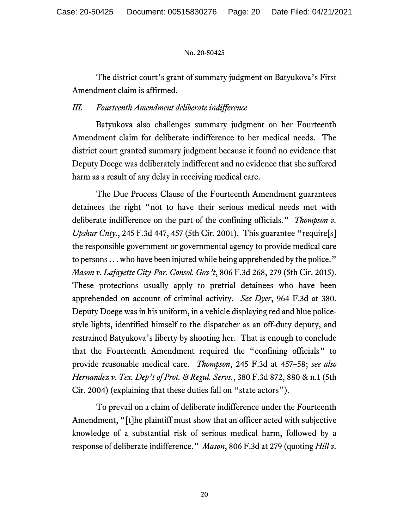The district court's grant of summary judgment on Batyukova's First Amendment claim is affirmed.

# *III. Fourteenth Amendment deliberate indifference*

Batyukova also challenges summary judgment on her Fourteenth Amendment claim for deliberate indifference to her medical needs. The district court granted summary judgment because it found no evidence that Deputy Doege was deliberately indifferent and no evidence that she suffered harm as a result of any delay in receiving medical care.

The Due Process Clause of the Fourteenth Amendment guarantees detainees the right "not to have their serious medical needs met with deliberate indifference on the part of the confining officials." *Thompson v. Upshur Cnty.*, 245 F.3d 447, 457 (5th Cir. 2001). This guarantee "require[s] the responsible government or governmental agency to provide medical care to persons . . . who have been injured while being apprehended by the police." *Mason v. Lafayette City-Par. Consol. Gov't*, 806 F.3d 268, 279 (5th Cir. 2015). These protections usually apply to pretrial detainees who have been apprehended on account of criminal activity. *See Dyer*, 964 F.3d at 380. Deputy Doege was in his uniform, in a vehicle displaying red and blue policestyle lights, identified himself to the dispatcher as an off-duty deputy, and restrained Batyukova's liberty by shooting her. That is enough to conclude that the Fourteenth Amendment required the "confining officials" to provide reasonable medical care. *Thompson*, 245 F.3d at 457–58; *see also Hernandez v. Tex. Dep't of Prot. & Regul. Servs.*, 380 F.3d 872, 880 & n.1 (5th Cir. 2004) (explaining that these duties fall on "state actors").

To prevail on a claim of deliberate indifference under the Fourteenth Amendment, "[t]he plaintiff must show that an officer acted with subjective knowledge of a substantial risk of serious medical harm, followed by a response of deliberate indifference." *Mason*, 806 F.3d at 279 (quoting *Hill v.*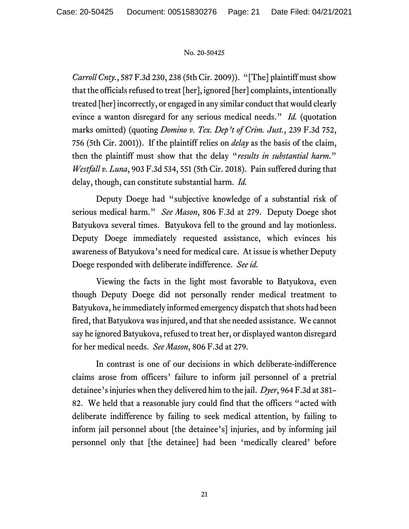*Carroll Cnty.*, 587 F.3d 230, 238 (5th Cir. 2009)). "[The] plaintiff must show that the officials refused to treat [her], ignored [her] complaints, intentionally treated [her] incorrectly, or engaged in any similar conduct that would clearly evince a wanton disregard for any serious medical needs." *Id.* (quotation marks omitted) (quoting *Domino v. Tex. Dep't of Crim. Just.*, 239 F.3d 752, 756 (5th Cir. 2001)). If the plaintiff relies on *delay* as the basis of the claim, then the plaintiff must show that the delay "*results in substantial harm*." *Westfall v. Luna*, 903 F.3d 534, 551 (5th Cir. 2018). Pain suffered during that delay, though, can constitute substantial harm. *Id.*

Deputy Doege had "subjective knowledge of a substantial risk of serious medical harm." *See Mason*, 806 F.3d at 279. Deputy Doege shot Batyukova several times. Batyukova fell to the ground and lay motionless. Deputy Doege immediately requested assistance, which evinces his awareness of Batyukova's need for medical care. At issue is whether Deputy Doege responded with deliberate indifference. *See id.* 

Viewing the facts in the light most favorable to Batyukova, even though Deputy Doege did not personally render medical treatment to Batyukova, he immediately informed emergency dispatch that shots had been fired, that Batyukova was injured, and that she needed assistance. We cannot say he ignored Batyukova, refused to treat her, or displayed wanton disregard for her medical needs. *See Mason*, 806 F.3d at 279.

In contrast is one of our decisions in which deliberate-indifference claims arose from officers' failure to inform jail personnel of a pretrial detainee's injuries when they delivered him to the jail. *Dyer*, 964 F.3d at 381– 82. We held that a reasonable jury could find that the officers "acted with deliberate indifference by failing to seek medical attention, by failing to inform jail personnel about [the detainee's] injuries, and by informing jail personnel only that [the detainee] had been 'medically cleared' before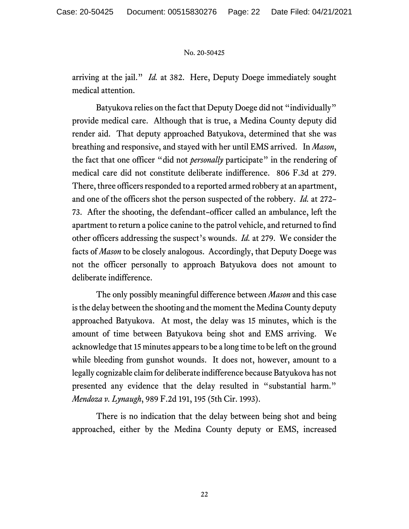arriving at the jail." *Id.* at 382. Here, Deputy Doege immediately sought medical attention.

Batyukova relies on the fact that Deputy Doege did not "individually" provide medical care. Although that is true, a Medina County deputy did render aid. That deputy approached Batyukova, determined that she was breathing and responsive, and stayed with her until EMS arrived. In *Mason*, the fact that one officer "did not *personally* participate" in the rendering of medical care did not constitute deliberate indifference. 806 F.3d at 279. There, three officers responded to a reported armed robbery at an apartment, and one of the officers shot the person suspected of the robbery. *Id.* at 272– 73. After the shooting, the defendant–officer called an ambulance, left the apartment to return a police canine to the patrol vehicle, and returned to find other officers addressing the suspect's wounds. *Id.* at 279. We consider the facts of *Mason* to be closely analogous. Accordingly, that Deputy Doege was not the officer personally to approach Batyukova does not amount to deliberate indifference.

The only possibly meaningful difference between *Mason* and this case is the delay between the shooting and the moment the Medina County deputy approached Batyukova. At most, the delay was 15 minutes, which is the amount of time between Batyukova being shot and EMS arriving. We acknowledge that 15 minutes appears to be a long time to be left on the ground while bleeding from gunshot wounds. It does not, however, amount to a legally cognizable claim for deliberate indifference because Batyukova has not presented any evidence that the delay resulted in "substantial harm." *Mendoza v. Lynaugh*, 989 F.2d 191, 195 (5th Cir. 1993).

There is no indication that the delay between being shot and being approached, either by the Medina County deputy or EMS, increased